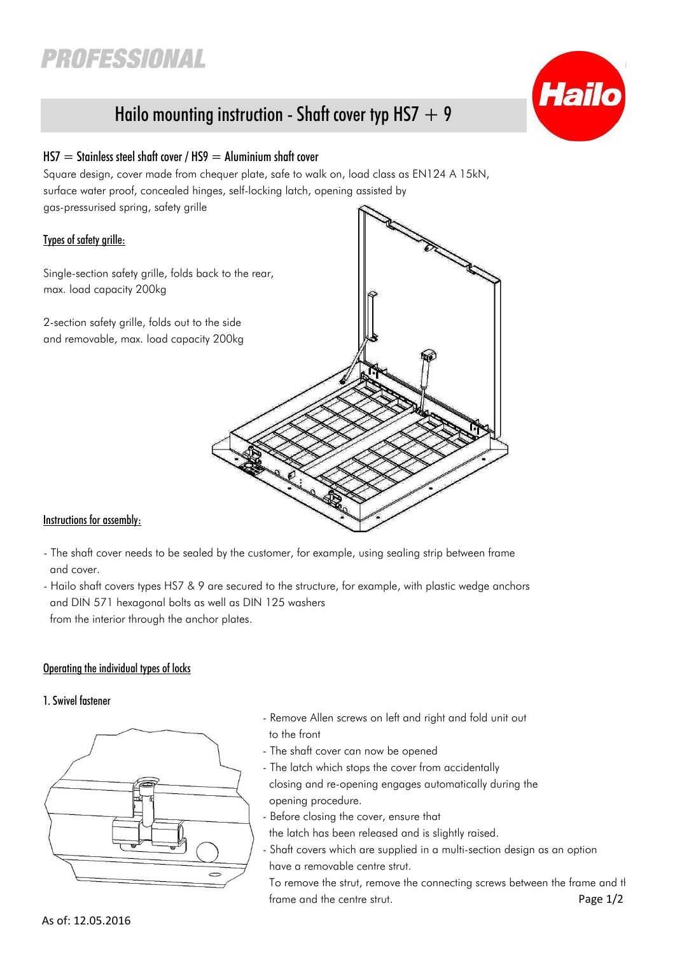# **PROFESSIONAL**



# Hailo mounting instruction - Shaft cover typ HS7  $+$  9

# $HS7 =$  Stainless steel shaft cover / HS9 = Aluminium shaft cover

Square design, cover made from chequer plate, safe to walk on, load class as EN124 A 15kN, surface water proof, concealed hinges, self-locking latch, opening assisted by gas-pressurised spring, safety grille

# Types of safety grille:

Single-section safety grille, folds back to the rear, max. load capacity 200kg

2-section safety grille, folds out to the side and removable, max. load capacity 200kg



# Instructions for assembly:

- The shaft cover needs to be sealed by the customer, for example, using sealing strip between frame and cover.
- Hailo shaft covers types HS7 & 9 are secured to the structure, for example, with plastic wedge anchors and DIN 571 hexagonal bolts as well as DIN 125 washers from the interior through the anchor plates.

# Operating the individual types of locks

#### 1. Swivel fastener



- Remove Allen screws on left and right and fold unit out to the front
- The shaft cover can now be opened
- The latch which stops the cover from accidentally closing and re-opening engages automatically during the opening procedure.
- Before closing the cover, ensure that
- the latch has been released and is slightly raised.
- Shaft covers which are supplied in a multi-section design as an option have a removable centre strut.

To remove the strut, remove the connecting screws between the frame and the frame and the centre strut. The struck of the control of the control of the control of the Page 1/2